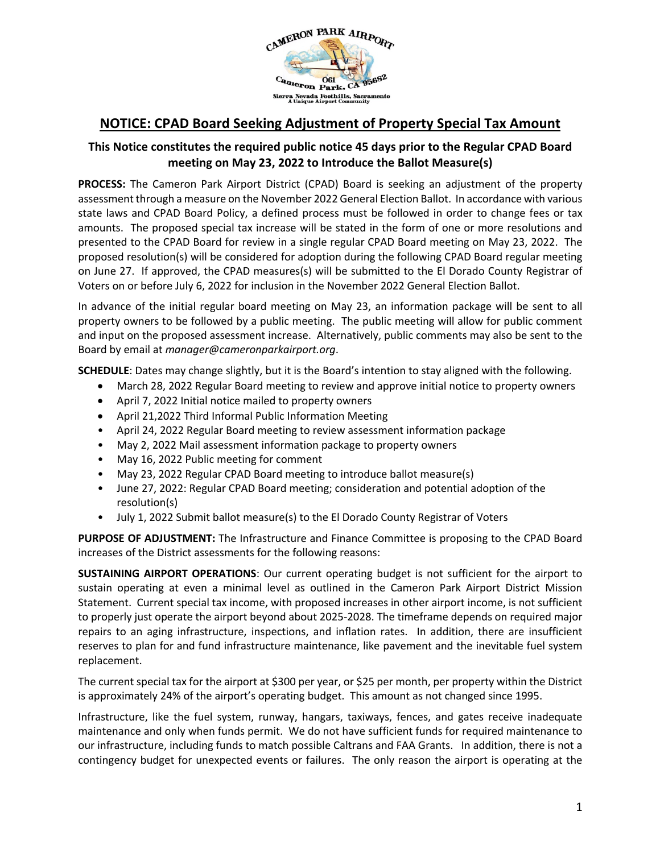

## **NOTICE: CPAD Board Seeking Adjustment of Property Special Tax Amount**

## **This Notice constitutes the required public notice 45 days prior to the Regular CPAD Board meeting on May 23, 2022 to Introduce the Ballot Measure(s)**

**PROCESS:** The Cameron Park Airport District (CPAD) Board is seeking an adjustment of the property assessment through a measure on the November 2022 General Election Ballot. In accordance with various state laws and CPAD Board Policy, a defined process must be followed in order to change fees or tax amounts. The proposed special tax increase will be stated in the form of one or more resolutions and presented to the CPAD Board for review in a single regular CPAD Board meeting on May 23, 2022. The proposed resolution(s) will be considered for adoption during the following CPAD Board regular meeting on June 27. If approved, the CPAD measures(s) will be submitted to the El Dorado County Registrar of Voters on or before July 6, 2022 for inclusion in the November 2022 General Election Ballot.

In advance of the initial regular board meeting on May 23, an information package will be sent to all property owners to be followed by a public meeting. The public meeting will allow for public comment and input on the proposed assessment increase. Alternatively, public comments may also be sent to the Board by email at *manager@cameronparkairport.org*.

**SCHEDULE**: Dates may change slightly, but it is the Board's intention to stay aligned with the following.

- March 28, 2022 Regular Board meeting to review and approve initial notice to property owners
- April 7, 2022 Initial notice mailed to property owners
- April 21,2022 Third Informal Public Information Meeting
- April 24, 2022 Regular Board meeting to review assessment information package
- May 2, 2022 Mail assessment information package to property owners
- May 16, 2022 Public meeting for comment
- May 23, 2022 Regular CPAD Board meeting to introduce ballot measure(s)
- June 27, 2022: Regular CPAD Board meeting; consideration and potential adoption of the resolution(s)
- July 1, 2022 Submit ballot measure(s) to the El Dorado County Registrar of Voters

**PURPOSE OF ADJUSTMENT:** The Infrastructure and Finance Committee is proposing to the CPAD Board increases of the District assessments for the following reasons:

**SUSTAINING AIRPORT OPERATIONS**: Our current operating budget is not sufficient for the airport to sustain operating at even a minimal level as outlined in the Cameron Park Airport District Mission Statement. Current special tax income, with proposed increases in other airport income, is not sufficient to properly just operate the airport beyond about 2025-2028. The timeframe depends on required major repairs to an aging infrastructure, inspections, and inflation rates. In addition, there are insufficient reserves to plan for and fund infrastructure maintenance, like pavement and the inevitable fuel system replacement.

The current special tax for the airport at \$300 per year, or \$25 per month, per property within the District is approximately 24% of the airport's operating budget. This amount as not changed since 1995.

Infrastructure, like the fuel system, runway, hangars, taxiways, fences, and gates receive inadequate maintenance and only when funds permit. We do not have sufficient funds for required maintenance to our infrastructure, including funds to match possible Caltrans and FAA Grants. In addition, there is not a contingency budget for unexpected events or failures. The only reason the airport is operating at the